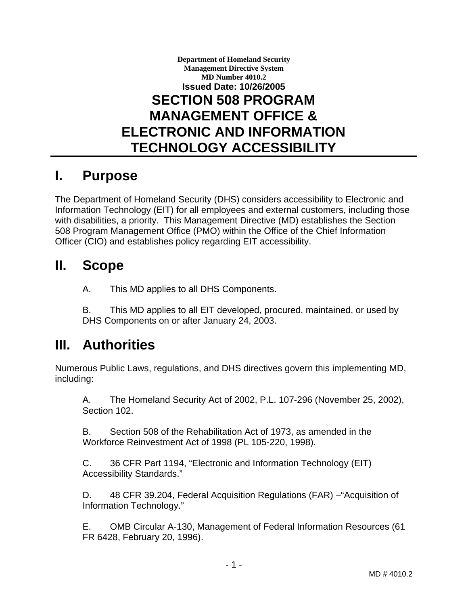### **Department of Homeland Security Management Directive System MD Number 4010.2 Issued Date: 10/26/2005 SECTION 508 PROGRAM MANAGEMENT OFFICE & ELECTRONIC AND INFORMATION TECHNOLOGY ACCESSIBILITY**

## **I. Purpose**

The Department of Homeland Security (DHS) considers accessibility to Electronic and Information Technology (EIT) for all employees and external customers, including those with disabilities, a priority. This Management Directive (MD) establishes the Section 508 Program Management Office (PMO) within the Office of the Chief Information Officer (CIO) and establishes policy regarding EIT accessibility.

### **II. Scope**

A. This MD applies to all DHS Components.

B. This MD applies to all EIT developed, procured, maintained, or used by DHS Components on or after January 24, 2003.

## **III. Authorities**

Numerous Public Laws, regulations, and DHS directives govern this implementing MD, including:

A. The Homeland Security Act of 2002, P.L. 107-296 (November 25, 2002), Section 102.

B. Section 508 of the Rehabilitation Act of 1973, as amended in the Workforce Reinvestment Act of 1998 (PL 105-220, 1998).

C. 36 CFR Part 1194, "Electronic and Information Technology (EIT) Accessibility Standards."

D. 48 CFR 39.204, Federal Acquisition Regulations (FAR) –"Acquisition of Information Technology."

E. OMB Circular A-130, Management of Federal Information Resources (61 FR 6428, February 20, 1996).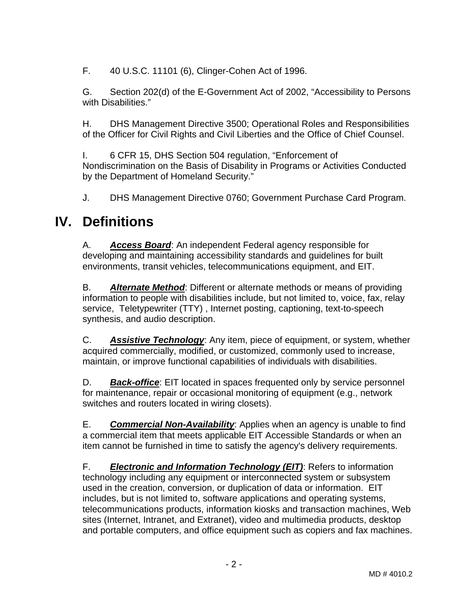F. 40 U.S.C. 11101 (6), Clinger-Cohen Act of 1996.

G. Section 202(d) of the E-Government Act of 2002, "Accessibility to Persons with Disabilities."

H. DHS Management Directive 3500; Operational Roles and Responsibilities of the Officer for Civil Rights and Civil Liberties and the Office of Chief Counsel.

I. 6 CFR 15, DHS Section 504 regulation, "Enforcement of Nondiscrimination on the Basis of Disability in Programs or Activities Conducted by the Department of Homeland Security."

J. DHS Management Directive 0760; Government Purchase Card Program.

## **IV. Definitions**

A. *Access Board*: An independent Federal agency responsible for developing and maintaining accessibility standards and guidelines for built environments, transit vehicles, telecommunications equipment, and EIT.

B. *Alternate Method*: Different or alternate methods or means of providing information to people with disabilities include, but not limited to, voice, fax, relay service, Teletypewriter (TTY) , Internet posting, captioning, text-to-speech synthesis, and audio description.

C. *Assistive Technology*: Any item, piece of equipment, or system, whether acquired commercially, modified, or customized, commonly used to increase, maintain, or improve functional capabilities of individuals with disabilities.

D. **Back-office**: EIT located in spaces frequented only by service personnel for maintenance, repair or occasional monitoring of equipment (e.g., network switches and routers located in wiring closets).

E. *Commercial Non-Availability*: Applies when an agency is unable to find a commercial item that meets applicable EIT Accessible Standards or when an item cannot be furnished in time to satisfy the agency's delivery requirements.

F. *Electronic and Information Technology (EIT)*: Refers to information technology including any equipment or interconnected system or subsystem used in the creation, conversion, or duplication of data or information. EIT includes, but is not limited to, software applications and operating systems, telecommunications products, information kiosks and transaction machines, Web sites (Internet, Intranet, and Extranet), video and multimedia products, desktop and portable computers, and office equipment such as copiers and fax machines.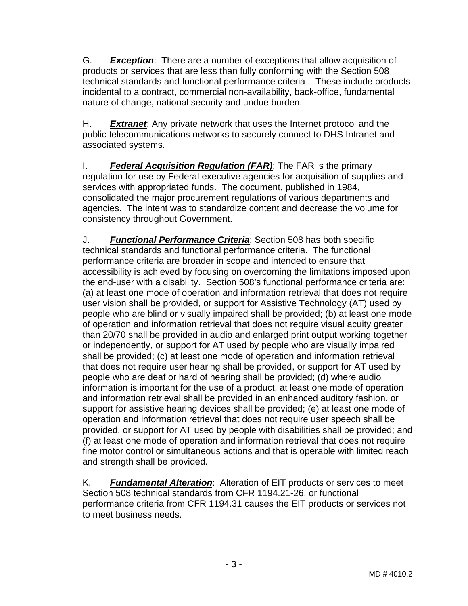G. *Exception*: There are a number of exceptions that allow acquisition of products or services that are less than fully conforming with the Section 508 technical standards and functional performance criteria . These include products incidental to a contract, commercial non-availability, back-office, fundamental nature of change, national security and undue burden.

H. *Extranet*: Any private network that uses the Internet protocol and the public telecommunications networks to securely connect to DHS Intranet and associated systems.

I. *Federal Acquisition Regulation (FAR)*: The FAR is the primary regulation for use by Federal executive agencies for acquisition of supplies and services with appropriated funds. The document, published in 1984, consolidated the major procurement regulations of various departments and agencies. The intent was to standardize content and decrease the volume for consistency throughout Government.

J. *Functional Performance Criteria*: Section 508 has both specific technical standards and functional performance criteria. The functional performance criteria are broader in scope and intended to ensure that accessibility is achieved by focusing on overcoming the limitations imposed upon the end-user with a disability. Section 508's functional performance criteria are: (a) at least one mode of operation and information retrieval that does not require user vision shall be provided, or support for Assistive Technology (AT) used by people who are blind or visually impaired shall be provided; (b) at least one mode of operation and information retrieval that does not require visual acuity greater than 20/70 shall be provided in audio and enlarged print output working together or independently, or support for AT used by people who are visually impaired shall be provided; (c) at least one mode of operation and information retrieval that does not require user hearing shall be provided, or support for AT used by people who are deaf or hard of hearing shall be provided; (d) where audio information is important for the use of a product, at least one mode of operation and information retrieval shall be provided in an enhanced auditory fashion, or support for assistive hearing devices shall be provided; (e) at least one mode of operation and information retrieval that does not require user speech shall be provided, or support for AT used by people with disabilities shall be provided; and (f) at least one mode of operation and information retrieval that does not require fine motor control or simultaneous actions and that is operable with limited reach and strength shall be provided.

K. *Fundamental Alteration*: Alteration of EIT products or services to meet Section 508 technical standards from CFR 1194.21-26, or functional performance criteria from CFR 1194.31 causes the EIT products or services not to meet business needs.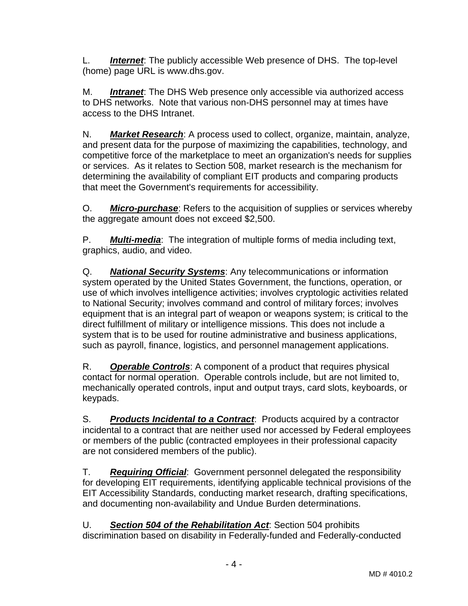L. *Internet*: The publicly accessible Web presence of DHS. The top-level (home) page URL is www.dhs.gov.

M. *Intranet*: The DHS Web presence only accessible via authorized access to DHS networks. Note that various non-DHS personnel may at times have access to the DHS Intranet.

N. *Market Research*: A process used to collect, organize, maintain, analyze, and present data for the purpose of maximizing the capabilities, technology, and competitive force of the marketplace to meet an organization's needs for supplies or services. As it relates to Section 508, market research is the mechanism for determining the availability of compliant EIT products and comparing products that meet the Government's requirements for accessibility.

O. *Micro-purchase*: Refers to the acquisition of supplies or services whereby the aggregate amount does not exceed \$2,500.

P. *Multi-media*: The integration of multiple forms of media including text, graphics, audio, and video.

Q. *National Security Systems*: Any telecommunications or information system operated by the United States Government, the functions, operation, or use of which involves intelligence activities; involves cryptologic activities related to National Security; involves command and control of military forces; involves equipment that is an integral part of weapon or weapons system; is critical to the direct fulfillment of military or intelligence missions. This does not include a system that is to be used for routine administrative and business applications, such as payroll, finance, logistics, and personnel management applications.

R. *Operable Controls*: A component of a product that requires physical contact for normal operation. Operable controls include, but are not limited to, mechanically operated controls, input and output trays, card slots, keyboards, or keypads.

S. *Products Incidental to a Contract*: Products acquired by a contractor incidental to a contract that are neither used nor accessed by Federal employees or members of the public (contracted employees in their professional capacity are not considered members of the public).

T. *Requiring Official*: Government personnel delegated the responsibility for developing EIT requirements, identifying applicable technical provisions of the EIT Accessibility Standards, conducting market research, drafting specifications, and documenting non-availability and Undue Burden determinations.

U. *Section 504 of the Rehabilitation Act*: Section 504 prohibits discrimination based on disability in Federally-funded and Federally-conducted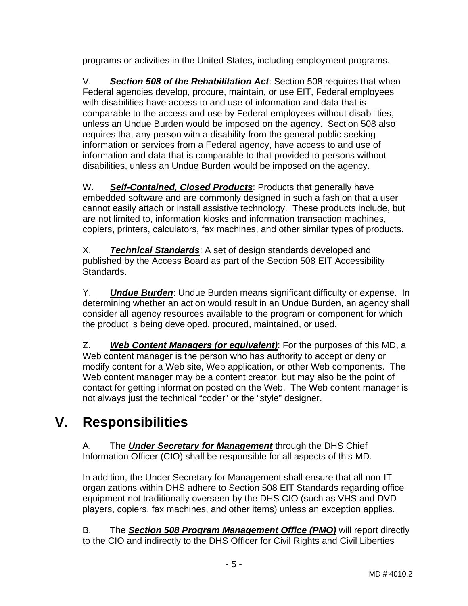programs or activities in the United States, including employment programs.

V. *Section 508 of the Rehabilitation Act*: Section 508 requires that when Federal agencies develop, procure, maintain, or use EIT, Federal employees with disabilities have access to and use of information and data that is comparable to the access and use by Federal employees without disabilities, unless an Undue Burden would be imposed on the agency. Section 508 also requires that any person with a disability from the general public seeking information or services from a Federal agency, have access to and use of information and data that is comparable to that provided to persons without disabilities, unless an Undue Burden would be imposed on the agency.

W. *Self-Contained, Closed Products*: Products that generally have embedded software and are commonly designed in such a fashion that a user cannot easily attach or install assistive technology. These products include, but are not limited to, information kiosks and information transaction machines, copiers, printers, calculators, fax machines, and other similar types of products.

X. *Technical Standards*: A set of design standards developed and published by the Access Board as part of the Section 508 EIT Accessibility Standards.

Y. *Undue Burden*: Undue Burden means significant difficulty or expense. In determining whether an action would result in an Undue Burden, an agency shall consider all agency resources available to the program or component for which the product is being developed, procured, maintained, or used.

Z. *Web Content Managers (or equivalent)*: For the purposes of this MD, a Web content manager is the person who has authority to accept or deny or modify content for a Web site, Web application, or other Web components. The Web content manager may be a content creator, but may also be the point of contact for getting information posted on the Web. The Web content manager is not always just the technical "coder" or the "style" designer.

# **V. Responsibilities**

A. The *Under Secretary for Management* through the DHS Chief Information Officer (CIO) shall be responsible for all aspects of this MD.

In addition, the Under Secretary for Management shall ensure that all non-IT organizations within DHS adhere to Section 508 EIT Standards regarding office equipment not traditionally overseen by the DHS CIO (such as VHS and DVD players, copiers, fax machines, and other items) unless an exception applies.

B. The *Section 508 Program Management Office (PMO)* will report directly to the CIO and indirectly to the DHS Officer for Civil Rights and Civil Liberties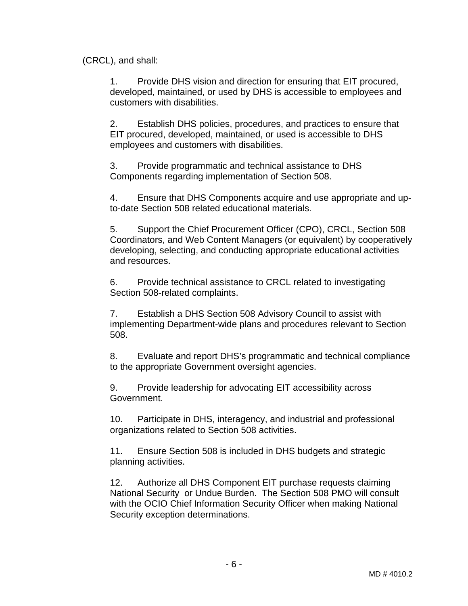(CRCL), and shall:

1. Provide DHS vision and direction for ensuring that EIT procured, developed, maintained, or used by DHS is accessible to employees and customers with disabilities.

2. Establish DHS policies, procedures, and practices to ensure that EIT procured, developed, maintained, or used is accessible to DHS employees and customers with disabilities.

3. Provide programmatic and technical assistance to DHS Components regarding implementation of Section 508.

4. Ensure that DHS Components acquire and use appropriate and upto-date Section 508 related educational materials.

5. Support the Chief Procurement Officer (CPO), CRCL, Section 508 Coordinators, and Web Content Managers (or equivalent) by cooperatively developing, selecting, and conducting appropriate educational activities and resources.

6. Provide technical assistance to CRCL related to investigating Section 508-related complaints.

7. Establish a DHS Section 508 Advisory Council to assist with implementing Department-wide plans and procedures relevant to Section 508.

8. Evaluate and report DHS's programmatic and technical compliance to the appropriate Government oversight agencies.

9. Provide leadership for advocating EIT accessibility across Government.

10. Participate in DHS, interagency, and industrial and professional organizations related to Section 508 activities.

11. Ensure Section 508 is included in DHS budgets and strategic planning activities.

12. Authorize all DHS Component EIT purchase requests claiming National Security or Undue Burden. The Section 508 PMO will consult with the OCIO Chief Information Security Officer when making National Security exception determinations.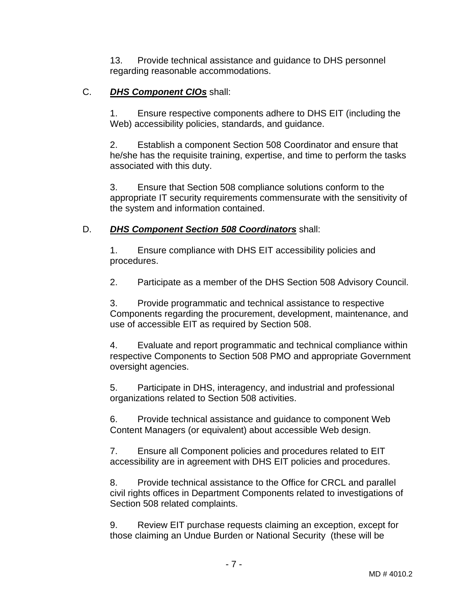13. Provide technical assistance and guidance to DHS personnel regarding reasonable accommodations.

#### C. *DHS Component CIOs* shall:

1. Ensure respective components adhere to DHS EIT (including the Web) accessibility policies, standards, and guidance.

2. Establish a component Section 508 Coordinator and ensure that he/she has the requisite training, expertise, and time to perform the tasks associated with this duty.

3. Ensure that Section 508 compliance solutions conform to the appropriate IT security requirements commensurate with the sensitivity of the system and information contained.

#### D. *DHS Component Section 508 Coordinators* shall:

1. Ensure compliance with DHS EIT accessibility policies and procedures.

2. Participate as a member of the DHS Section 508 Advisory Council.

3. Provide programmatic and technical assistance to respective Components regarding the procurement, development, maintenance, and use of accessible EIT as required by Section 508.

4. Evaluate and report programmatic and technical compliance within respective Components to Section 508 PMO and appropriate Government oversight agencies.

5. Participate in DHS, interagency, and industrial and professional organizations related to Section 508 activities.

6. Provide technical assistance and guidance to component Web Content Managers (or equivalent) about accessible Web design.

7. Ensure all Component policies and procedures related to EIT accessibility are in agreement with DHS EIT policies and procedures.

8. Provide technical assistance to the Office for CRCL and parallel civil rights offices in Department Components related to investigations of Section 508 related complaints.

9. Review EIT purchase requests claiming an exception, except for those claiming an Undue Burden or National Security (these will be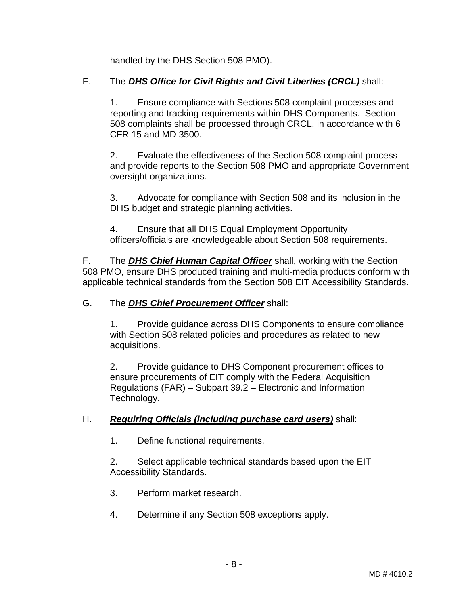handled by the DHS Section 508 PMO).

#### E. The *DHS Office for Civil Rights and Civil Liberties (CRCL)* shall:

1. Ensure compliance with Sections 508 complaint processes and reporting and tracking requirements within DHS Components. Section 508 complaints shall be processed through CRCL, in accordance with 6 CFR 15 and MD 3500.

2. Evaluate the effectiveness of the Section 508 complaint process and provide reports to the Section 508 PMO and appropriate Government oversight organizations.

3. Advocate for compliance with Section 508 and its inclusion in the DHS budget and strategic planning activities.

4. Ensure that all DHS Equal Employment Opportunity officers/officials are knowledgeable about Section 508 requirements.

F. The *DHS Chief Human Capital Officer* shall, working with the Section 508 PMO, ensure DHS produced training and multi-media products conform with applicable technical standards from the Section 508 EIT Accessibility Standards.

#### G. The *DHS Chief Procurement Officer* shall:

1. Provide guidance across DHS Components to ensure compliance with Section 508 related policies and procedures as related to new acquisitions.

2. Provide guidance to DHS Component procurement offices to ensure procurements of EIT comply with the Federal Acquisition Regulations (FAR) – Subpart 39.2 – Electronic and Information Technology.

#### H. *Requiring Officials (including purchase card users)* shall:

1. Define functional requirements.

2. Select applicable technical standards based upon the EIT Accessibility Standards.

- 3. Perform market research.
- 4. Determine if any Section 508 exceptions apply.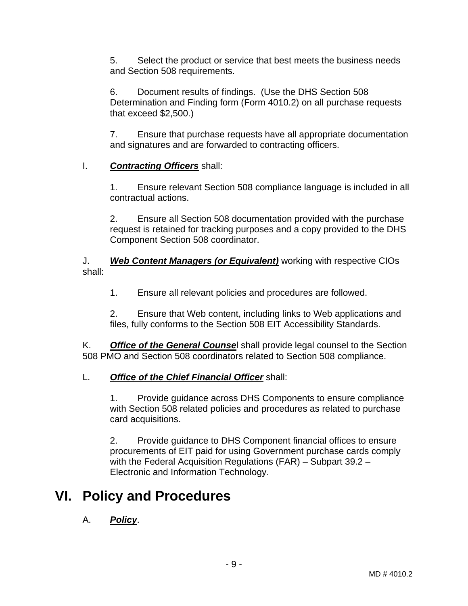5. Select the product or service that best meets the business needs and Section 508 requirements.

6. Document results of findings. (Use the DHS Section 508 Determination and Finding form (Form 4010.2) on all purchase requests that exceed \$2,500.)

7. Ensure that purchase requests have all appropriate documentation and signatures and are forwarded to contracting officers.

#### I. *Contracting Officers* shall:

1. Ensure relevant Section 508 compliance language is included in all contractual actions.

2. Ensure all Section 508 documentation provided with the purchase request is retained for tracking purposes and a copy provided to the DHS Component Section 508 coordinator.

J. *Web Content Managers (or Equivalent)* working with respective CIOs shall:

1. Ensure all relevant policies and procedures are followed.

2. Ensure that Web content, including links to Web applications and files, fully conforms to the Section 508 EIT Accessibility Standards.

K. *Office of the General Counse*l shall provide legal counsel to the Section 508 PMO and Section 508 coordinators related to Section 508 compliance.

#### L. *Office of the Chief Financial Officer* shall:

1. Provide guidance across DHS Components to ensure compliance with Section 508 related policies and procedures as related to purchase card acquisitions.

2. Provide guidance to DHS Component financial offices to ensure procurements of EIT paid for using Government purchase cards comply with the Federal Acquisition Regulations (FAR) – Subpart 39.2 – Electronic and Information Technology.

## **VI. Policy and Procedures**

#### A. *Policy*.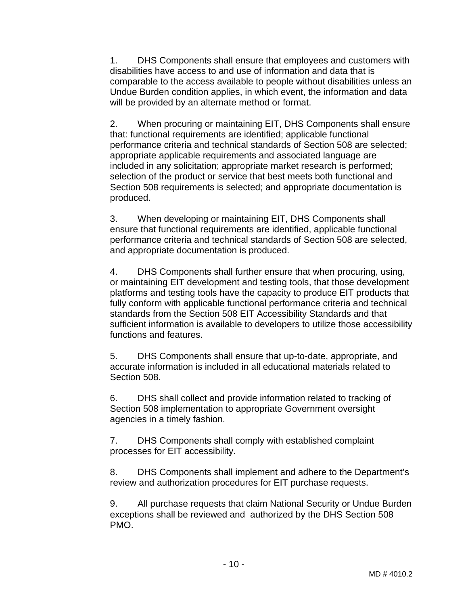1. DHS Components shall ensure that employees and customers with disabilities have access to and use of information and data that is comparable to the access available to people without disabilities unless an Undue Burden condition applies, in which event, the information and data will be provided by an alternate method or format.

2. When procuring or maintaining EIT, DHS Components shall ensure that: functional requirements are identified; applicable functional performance criteria and technical standards of Section 508 are selected; appropriate applicable requirements and associated language are included in any solicitation; appropriate market research is performed; selection of the product or service that best meets both functional and Section 508 requirements is selected; and appropriate documentation is produced.

3. When developing or maintaining EIT, DHS Components shall ensure that functional requirements are identified, applicable functional performance criteria and technical standards of Section 508 are selected, and appropriate documentation is produced.

4. DHS Components shall further ensure that when procuring, using, or maintaining EIT development and testing tools, that those development platforms and testing tools have the capacity to produce EIT products that fully conform with applicable functional performance criteria and technical standards from the Section 508 EIT Accessibility Standards and that sufficient information is available to developers to utilize those accessibility functions and features.

5. DHS Components shall ensure that up-to-date, appropriate, and accurate information is included in all educational materials related to Section 508.

6. DHS shall collect and provide information related to tracking of Section 508 implementation to appropriate Government oversight agencies in a timely fashion.

7. DHS Components shall comply with established complaint processes for EIT accessibility.

8. DHS Components shall implement and adhere to the Department's review and authorization procedures for EIT purchase requests.

9. All purchase requests that claim National Security or Undue Burden exceptions shall be reviewed and authorized by the DHS Section 508 PMO.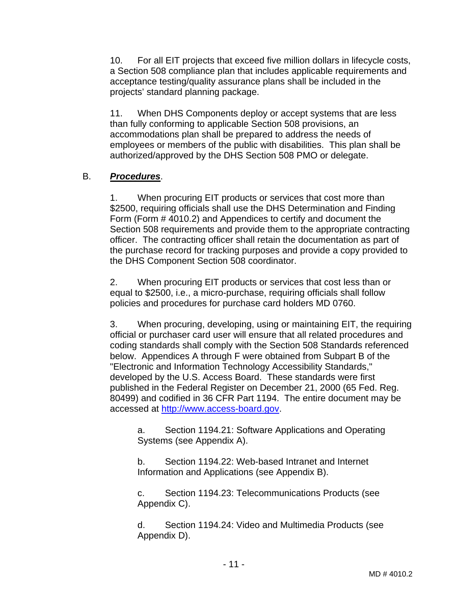10. For all EIT projects that exceed five million dollars in lifecycle costs, a Section 508 compliance plan that includes applicable requirements and acceptance testing/quality assurance plans shall be included in the projects' standard planning package.

11. When DHS Components deploy or accept systems that are less than fully conforming to applicable Section 508 provisions, an accommodations plan shall be prepared to address the needs of employees or members of the public with disabilities. This plan shall be authorized/approved by the DHS Section 508 PMO or delegate.

#### B. *Procedures*.

1. When procuring EIT products or services that cost more than \$2500, requiring officials shall use the DHS Determination and Finding Form (Form # 4010.2) and Appendices to certify and document the Section 508 requirements and provide them to the appropriate contracting officer. The contracting officer shall retain the documentation as part of the purchase record for tracking purposes and provide a copy provided to the DHS Component Section 508 coordinator.

2. When procuring EIT products or services that cost less than or equal to \$2500, i.e., a micro-purchase, requiring officials shall follow policies and procedures for purchase card holders MD 0760.

3. When procuring, developing, using or maintaining EIT, the requiring official or purchaser card user will ensure that all related procedures and coding standards shall comply with the Section 508 Standards referenced below. Appendices A through F were obtained from Subpart B of the "Electronic and Information Technology Accessibility Standards," developed by the U.S. Access Board. These standards were first published in the Federal Register on December 21, 2000 (65 Fed. Reg. 80499) and codified in 36 CFR Part 1194. The entire document may be accessed at http://www.access-board.gov.

a. Section 1194.21: Software Applications and Operating Systems (see Appendix A).

b. Section 1194.22: Web-based Intranet and Internet Information and Applications (see Appendix B).

c. Section 1194.23: Telecommunications Products (see Appendix C).

d. Section 1194.24: Video and Multimedia Products (see Appendix D).